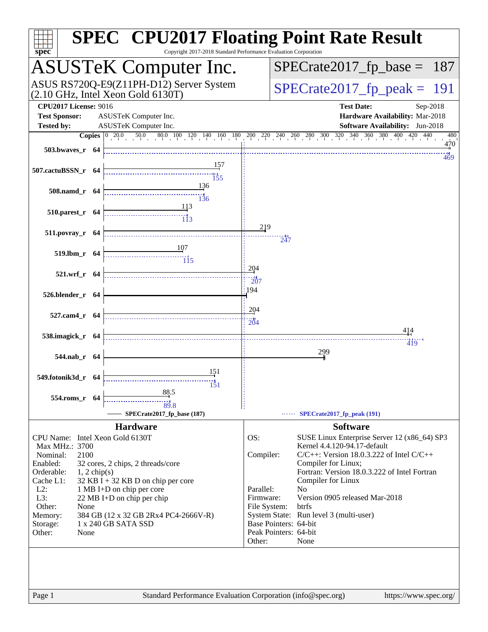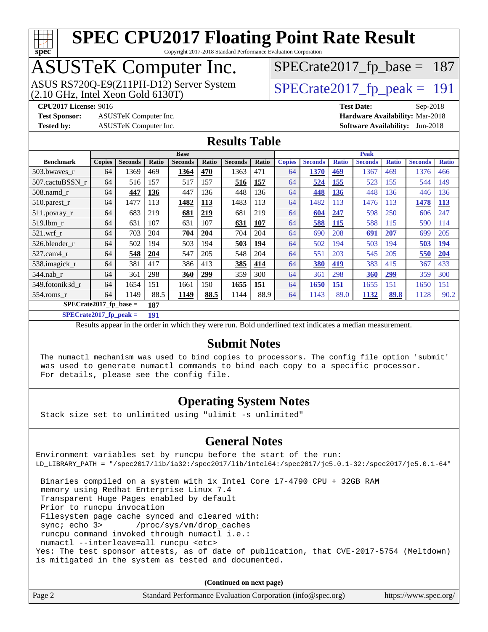

Copyright 2017-2018 Standard Performance Evaluation Corporation

## ASUSTeK Computer Inc.

ASUS RS720Q-E9(Z11PH-D12) Server System  $(2.10 \text{ GHz}, \text{ Intel Xeon Gold } 6130T)$ 

[SPECrate2017\\_fp\\_base =](http://www.spec.org/auto/cpu2017/Docs/result-fields.html#SPECrate2017fpbase) 187

**[Test Sponsor:](http://www.spec.org/auto/cpu2017/Docs/result-fields.html#TestSponsor)** ASUSTeK Computer Inc. **[Hardware Availability:](http://www.spec.org/auto/cpu2017/Docs/result-fields.html#HardwareAvailability)** Mar-2018

**[CPU2017 License:](http://www.spec.org/auto/cpu2017/Docs/result-fields.html#CPU2017License)** 9016 **[Test Date:](http://www.spec.org/auto/cpu2017/Docs/result-fields.html#TestDate)** Sep-2018 **[Tested by:](http://www.spec.org/auto/cpu2017/Docs/result-fields.html#Testedby)** ASUSTeK Computer Inc. **[Software Availability:](http://www.spec.org/auto/cpu2017/Docs/result-fields.html#SoftwareAvailability)** Jun-2018

#### **[Results Table](http://www.spec.org/auto/cpu2017/Docs/result-fields.html#ResultsTable)**

|                                  | <b>Base</b>   |                |       |                |       | <b>Peak</b>    |            |               |                |              |                |              |                |              |
|----------------------------------|---------------|----------------|-------|----------------|-------|----------------|------------|---------------|----------------|--------------|----------------|--------------|----------------|--------------|
| <b>Benchmark</b>                 | <b>Copies</b> | <b>Seconds</b> | Ratio | <b>Seconds</b> | Ratio | <b>Seconds</b> | Ratio      | <b>Copies</b> | <b>Seconds</b> | <b>Ratio</b> | <b>Seconds</b> | <b>Ratio</b> | <b>Seconds</b> | <b>Ratio</b> |
| 503.bwayes r                     | 64            | 1369           | 469   | 1364           | 470   | 1363           | 471        | 64            | 1370           | 469          | 1367           | 469          | 1376           | 466          |
| 507.cactuBSSN r                  | 64            | 516            | 157   | 517            | 157   | 516            | 157        | 64            | 524            | 155          | 523            | 155          | 544            | 149          |
| $508$ .namd $r$                  | 64            | 447            | 136   | 447            | 136   | 448            | 136        | 64            | 448            | 136          | 448            | 136          | 446            | 136          |
| 510.parest_r                     | 64            | 1477           | 113   | 1482           | 113   | 1483           | 113        | 64            | 1482           | 113          | 1476           | 113          | 1478           | 113          |
| 511.povray_r                     | 64            | 683            | 219   | 681            | 219   | 681            | 219        | 64            | 604            | 247          | 598            | 250          | 606            | 247          |
| 519.1bm r                        | 64            | 631            | 107   | 631            | 107   | 631            | 107        | 64            | 588            | <b>115</b>   | 588            | 115          | 590            | 114          |
| $521.wrf_r$                      | 64            | 703            | 204   | 704            | 204   | 704            | 204        | 64            | 690            | 208          | 691            | <b>207</b>   | 699            | 205          |
| 526.blender r                    | 64            | 502            | 194   | 503            | 194   | 503            | 194        | 64            | 502            | 194          | 503            | 194          | 503            | 194          |
| 527.cam4_r                       | 64            | 548            | 204   | 547            | 205   | 548            | 204        | 64            | 551            | 203          | 545            | 205          | 550            | 204          |
| 538.imagick_r                    | 64            | 381            | 417   | 386            | 413   | 385            | 414        | 64            | <b>380</b>     | 419          | 383            | 415          | 367            | 433          |
| $544$ .nab_r                     | 64            | 361            | 298   | 360            | 299   | 359            | 300        | 64            | 361            | 298          | 360            | 299          | 359            | 300          |
| 549.fotonik3d r                  | 64            | 1654           | 151   | 1661           | 150   | 1655           | <b>151</b> | 64            | 1650           | 151          | 1655           | 151          | 1650           | 151          |
| $554$ .roms r                    | 64            | 1149           | 88.5  | 1149           | 88.5  | 1144           | 88.9       | 64            | 1143           | 89.0         | 1132           | 89.8         | 1128           | 90.2         |
| $SPECrate2017_fp\_base =$<br>187 |               |                |       |                |       |                |            |               |                |              |                |              |                |              |

**[SPECrate2017\\_fp\\_peak =](http://www.spec.org/auto/cpu2017/Docs/result-fields.html#SPECrate2017fppeak) 191**

Results appear in the [order in which they were run.](http://www.spec.org/auto/cpu2017/Docs/result-fields.html#RunOrder) Bold underlined text [indicates a median measurement.](http://www.spec.org/auto/cpu2017/Docs/result-fields.html#Median)

#### **[Submit Notes](http://www.spec.org/auto/cpu2017/Docs/result-fields.html#SubmitNotes)**

 The numactl mechanism was used to bind copies to processors. The config file option 'submit' was used to generate numactl commands to bind each copy to a specific processor. For details, please see the config file.

#### **[Operating System Notes](http://www.spec.org/auto/cpu2017/Docs/result-fields.html#OperatingSystemNotes)**

Stack size set to unlimited using "ulimit -s unlimited"

#### **[General Notes](http://www.spec.org/auto/cpu2017/Docs/result-fields.html#GeneralNotes)**

Environment variables set by runcpu before the start of the run: LD\_LIBRARY\_PATH = "/spec2017/lib/ia32:/spec2017/lib/intel64:/spec2017/je5.0.1-32:/spec2017/je5.0.1-64" Binaries compiled on a system with 1x Intel Core i7-4790 CPU + 32GB RAM memory using Redhat Enterprise Linux 7.4 Transparent Huge Pages enabled by default Prior to runcpu invocation Filesystem page cache synced and cleared with: sync; echo 3> /proc/sys/vm/drop\_caches runcpu command invoked through numactl i.e.: numactl --interleave=all runcpu <etc> Yes: The test sponsor attests, as of date of publication, that CVE-2017-5754 (Meltdown) is mitigated in the system as tested and documented.

**(Continued on next page)**

| Page 2 | Standard Performance Evaluation Corporation (info@spec.org) | https://www.spec.org/ |
|--------|-------------------------------------------------------------|-----------------------|
|--------|-------------------------------------------------------------|-----------------------|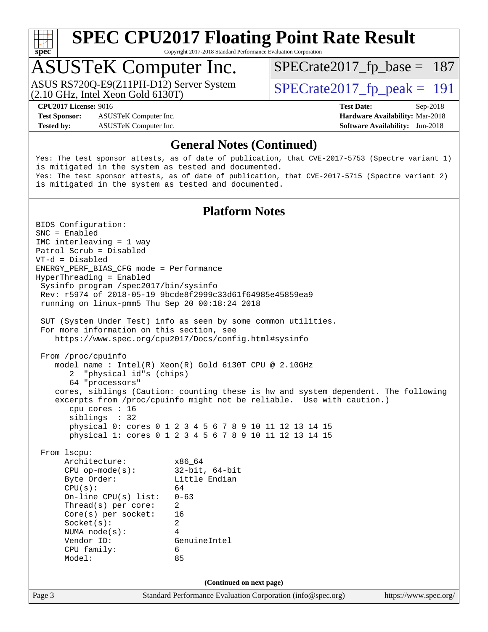

Copyright 2017-2018 Standard Performance Evaluation Corporation

## ASUSTeK Computer Inc.

(2.10 GHz, Intel Xeon Gold 6130T) ASUS RS720Q-E9(Z11PH-D12) Server System  $\sqrt{\text{SPECrate2017\_fp\_peak}} = 191$ 

[SPECrate2017\\_fp\\_base =](http://www.spec.org/auto/cpu2017/Docs/result-fields.html#SPECrate2017fpbase) 187

**[Test Sponsor:](http://www.spec.org/auto/cpu2017/Docs/result-fields.html#TestSponsor)** ASUSTeK Computer Inc. **[Hardware Availability:](http://www.spec.org/auto/cpu2017/Docs/result-fields.html#HardwareAvailability)** Mar-2018 **[Tested by:](http://www.spec.org/auto/cpu2017/Docs/result-fields.html#Testedby)** ASUSTeK Computer Inc. **[Software Availability:](http://www.spec.org/auto/cpu2017/Docs/result-fields.html#SoftwareAvailability)** Jun-2018

**[CPU2017 License:](http://www.spec.org/auto/cpu2017/Docs/result-fields.html#CPU2017License)** 9016 **[Test Date:](http://www.spec.org/auto/cpu2017/Docs/result-fields.html#TestDate)** Sep-2018

#### **[General Notes \(Continued\)](http://www.spec.org/auto/cpu2017/Docs/result-fields.html#GeneralNotes)**

Yes: The test sponsor attests, as of date of publication, that CVE-2017-5753 (Spectre variant 1) is mitigated in the system as tested and documented. Yes: The test sponsor attests, as of date of publication, that CVE-2017-5715 (Spectre variant 2) is mitigated in the system as tested and documented.

#### **[Platform Notes](http://www.spec.org/auto/cpu2017/Docs/result-fields.html#PlatformNotes)**

Page 3 Standard Performance Evaluation Corporation [\(info@spec.org\)](mailto:info@spec.org) <https://www.spec.org/> BIOS Configuration: SNC = Enabled IMC interleaving = 1 way Patrol Scrub = Disabled VT-d = Disabled ENERGY\_PERF\_BIAS\_CFG mode = Performance HyperThreading = Enabled Sysinfo program /spec2017/bin/sysinfo Rev: r5974 of 2018-05-19 9bcde8f2999c33d61f64985e45859ea9 running on linux-pmm5 Thu Sep 20 00:18:24 2018 SUT (System Under Test) info as seen by some common utilities. For more information on this section, see <https://www.spec.org/cpu2017/Docs/config.html#sysinfo> From /proc/cpuinfo model name : Intel(R) Xeon(R) Gold 6130T CPU @ 2.10GHz 2 "physical id"s (chips) 64 "processors" cores, siblings (Caution: counting these is hw and system dependent. The following excerpts from /proc/cpuinfo might not be reliable. Use with caution.) cpu cores : 16 siblings : 32 physical 0: cores 0 1 2 3 4 5 6 7 8 9 10 11 12 13 14 15 physical 1: cores 0 1 2 3 4 5 6 7 8 9 10 11 12 13 14 15 From lscpu: Architecture: x86\_64 CPU op-mode(s): 32-bit, 64-bit Byte Order: Little Endian  $CPU(s):$  64 On-line CPU(s) list: 0-63 Thread(s) per core: 2 Core(s) per socket: 16 Socket(s): 2 NUMA node(s): 4 Vendor ID: GenuineIntel CPU family: 6 Model: 85 **(Continued on next page)**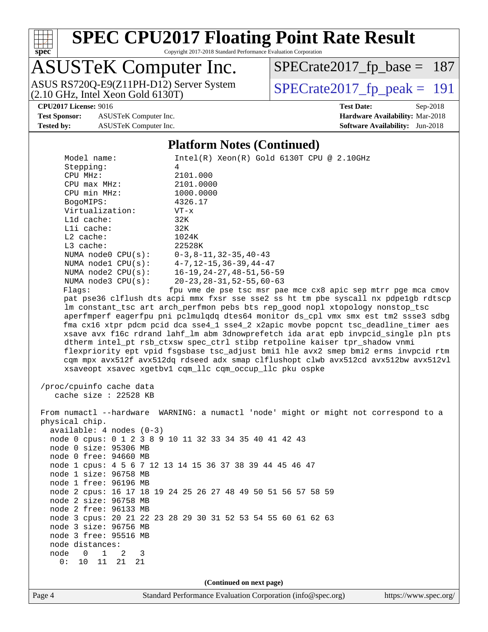

Copyright 2017-2018 Standard Performance Evaluation Corporation

## ASUSTeK Computer Inc.

ASUS RS720Q-E9(Z11PH-D12) Server System  $(2.10 \text{ GHz}, \text{ Intel Xeon Gold } 6130T)$ 

[SPECrate2017\\_fp\\_base =](http://www.spec.org/auto/cpu2017/Docs/result-fields.html#SPECrate2017fpbase) 187

**[Test Sponsor:](http://www.spec.org/auto/cpu2017/Docs/result-fields.html#TestSponsor)** ASUSTeK Computer Inc. **[Hardware Availability:](http://www.spec.org/auto/cpu2017/Docs/result-fields.html#HardwareAvailability)** Mar-2018

## **[CPU2017 License:](http://www.spec.org/auto/cpu2017/Docs/result-fields.html#CPU2017License)** 9016 **[Test Date:](http://www.spec.org/auto/cpu2017/Docs/result-fields.html#TestDate)** Sep-2018

**[Tested by:](http://www.spec.org/auto/cpu2017/Docs/result-fields.html#Testedby)** ASUSTeK Computer Inc. **[Software Availability:](http://www.spec.org/auto/cpu2017/Docs/result-fields.html#SoftwareAvailability)** Jun-2018

### **[Platform Notes \(Continued\)](http://www.spec.org/auto/cpu2017/Docs/result-fields.html#PlatformNotes)**

| Model name:<br>Stepping:<br>CPU MHz:<br>CPU max MHz:<br>CPU min MHz:<br>BogoMIPS:<br>Virtualization:<br>L1d cache:<br>Lli cache:<br>$L2$ cache:<br>L3 cache:<br>NUMA node0 CPU(s): 0-3,8-11,32-35,40-43<br>NUMA node1 CPU(s): 4-7,12-15,36-39,44-47<br>Flagg:<br>/proc/cpuinfo cache data                                                                                                                                                                                                                                                                                                                                                                                                                                      | Intel(R) Xeon(R) Gold 6130T CPU @ 2.10GHz<br>4<br>2101.000<br>2101.0000<br>1000.0000<br>4326.17<br>$VT - x$<br>32K<br>32K<br>1024K<br>22528K<br>NUMA node2 CPU(s): 16-19, 24-27, 48-51, 56-59<br>NUMA node3 CPU(s): 20-23, 28-31, 52-55, 60-63<br>fpu vme de pse tsc msr pae mce cx8 apic sep mtrr pge mca cmov<br>pat pse36 clflush dts acpi mmx fxsr sse sse2 ss ht tm pbe syscall nx pdpelgb rdtscp<br>lm constant_tsc art arch_perfmon pebs bts rep_good nopl xtopology nonstop_tsc<br>aperfmperf eagerfpu pni pclmulqdq dtes64 monitor ds_cpl vmx smx est tm2 ssse3 sdbg<br>fma cx16 xtpr pdcm pcid dca sse4_1 sse4_2 x2apic movbe popcnt tsc_deadline_timer aes<br>xsave avx f16c rdrand lahf_lm abm 3dnowprefetch ida arat epb invpcid_single pln pts<br>dtherm intel_pt rsb_ctxsw spec_ctrl stibp retpoline kaiser tpr_shadow vnmi<br>flexpriority ept vpid fsgsbase tsc_adjust bmil hle avx2 smep bmi2 erms invpcid rtm<br>cqm mpx avx512f avx512dq rdseed adx smap clflushopt clwb avx512cd avx512bw avx512vl<br>xsaveopt xsavec xgetbvl cqm_llc cqm_occup_llc pku ospke |  |  |  |  |
|--------------------------------------------------------------------------------------------------------------------------------------------------------------------------------------------------------------------------------------------------------------------------------------------------------------------------------------------------------------------------------------------------------------------------------------------------------------------------------------------------------------------------------------------------------------------------------------------------------------------------------------------------------------------------------------------------------------------------------|------------------------------------------------------------------------------------------------------------------------------------------------------------------------------------------------------------------------------------------------------------------------------------------------------------------------------------------------------------------------------------------------------------------------------------------------------------------------------------------------------------------------------------------------------------------------------------------------------------------------------------------------------------------------------------------------------------------------------------------------------------------------------------------------------------------------------------------------------------------------------------------------------------------------------------------------------------------------------------------------------------------------------------------------------------------------------------|--|--|--|--|
| cache size : $22528$ KB<br>From numactl --hardware WARNING: a numactl 'node' might or might not correspond to a<br>physical chip.<br>$available: 4 nodes (0-3)$<br>node 0 cpus: 0 1 2 3 8 9 10 11 32 33 34 35 40 41 42 43<br>node 0 size: 95306 MB<br>node 0 free: 94660 MB<br>node 1 cpus: 4 5 6 7 12 13 14 15 36 37 38 39 44 45 46 47<br>node 1 size: 96758 MB<br>node 1 free: 96196 MB<br>node 2 cpus: 16 17 18 19 24 25 26 27 48 49 50 51 56 57 58 59<br>node 2 size: 96758 MB<br>node 2 free: 96133 MB<br>node 3 cpus: 20 21 22 23 28 29 30 31 52 53 54 55 60 61 62 63<br>node 3 size: 96756 MB<br>node 3 free: 95516 MB<br>node distances:<br>node<br>$\mathbf 0$<br>$\mathbf 1$<br>3<br>2<br>0:<br>10<br>11<br>21<br>21 |                                                                                                                                                                                                                                                                                                                                                                                                                                                                                                                                                                                                                                                                                                                                                                                                                                                                                                                                                                                                                                                                                    |  |  |  |  |
| (Continued on next page)                                                                                                                                                                                                                                                                                                                                                                                                                                                                                                                                                                                                                                                                                                       |                                                                                                                                                                                                                                                                                                                                                                                                                                                                                                                                                                                                                                                                                                                                                                                                                                                                                                                                                                                                                                                                                    |  |  |  |  |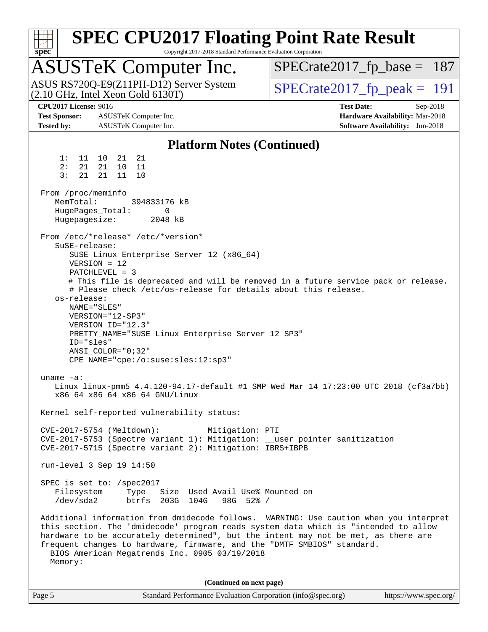| <b>SPEC CPU2017 Floating Point Rate Result</b><br>spec<br>Copyright 2017-2018 Standard Performance Evaluation Corporation                                                                                                                                                                                                                                                                                                           |                                                                                                     |
|-------------------------------------------------------------------------------------------------------------------------------------------------------------------------------------------------------------------------------------------------------------------------------------------------------------------------------------------------------------------------------------------------------------------------------------|-----------------------------------------------------------------------------------------------------|
| <b>ASUSTeK Computer Inc.</b>                                                                                                                                                                                                                                                                                                                                                                                                        | $SPECrate2017_fp\_base = 187$                                                                       |
| ASUS RS720Q-E9(Z11PH-D12) Server System<br>$(2.10 \text{ GHz}, \text{Intel Xeon Gold } 6130 \text{T})$                                                                                                                                                                                                                                                                                                                              | $SPECrate2017_fp\_peak = 191$                                                                       |
| <b>CPU2017 License: 9016</b><br><b>Test Sponsor:</b><br>ASUSTeK Computer Inc.<br><b>Tested by:</b><br>ASUSTeK Computer Inc.                                                                                                                                                                                                                                                                                                         | <b>Test Date:</b><br>Sep-2018<br>Hardware Availability: Mar-2018<br>Software Availability: Jun-2018 |
| <b>Platform Notes (Continued)</b>                                                                                                                                                                                                                                                                                                                                                                                                   |                                                                                                     |
| 1:<br>11<br>10<br>21<br>21<br>2:<br>21<br>21<br>10<br>11<br>3:<br>21<br>21<br>11<br>10                                                                                                                                                                                                                                                                                                                                              |                                                                                                     |
| From /proc/meminfo<br>MemTotal:<br>394833176 kB<br>HugePages_Total:<br>$\Omega$<br>Hugepagesize:<br>2048 kB                                                                                                                                                                                                                                                                                                                         |                                                                                                     |
| From /etc/*release* /etc/*version*<br>$S$ uSE-release:<br>SUSE Linux Enterprise Server 12 (x86_64)<br>$VERSION = 12$<br>$PATCHLEVEL = 3$<br># Please check /etc/os-release for details about this release.<br>os-release:<br>NAME="SLES"<br>VERSION="12-SP3"<br>VERSION_ID="12.3"<br>PRETTY_NAME="SUSE Linux Enterprise Server 12 SP3"<br>ID="sles"<br>$ANSI\_COLOR = "0;32"$<br>CPE_NAME="cpe:/o:suse:sles:12:sp3"<br>uname $-a$ : | # This file is deprecated and will be removed in a future service pack or release.                  |
| Linux linux-pmm5 4.4.120-94.17-default #1 SMP Wed Mar 14 17:23:00 UTC 2018 (cf3a7bb)<br>x86_64 x86_64 x86_64 GNU/Linux                                                                                                                                                                                                                                                                                                              |                                                                                                     |
| Kernel self-reported vulnerability status:                                                                                                                                                                                                                                                                                                                                                                                          |                                                                                                     |
| CVE-2017-5754 (Meltdown):<br>Mitigation: PTI<br>CVE-2017-5753 (Spectre variant 1): Mitigation: __user pointer sanitization<br>CVE-2017-5715 (Spectre variant 2): Mitigation: IBRS+IBPB                                                                                                                                                                                                                                              |                                                                                                     |
| run-level 3 Sep 19 14:50                                                                                                                                                                                                                                                                                                                                                                                                            |                                                                                                     |
| SPEC is set to: /spec2017<br>Filesystem Type<br>Size Used Avail Use% Mounted on<br>/dev/sda2<br>btrfs 203G 104G<br>98G 52% /                                                                                                                                                                                                                                                                                                        |                                                                                                     |
| Additional information from dmidecode follows. WARNING: Use caution when you interpret<br>this section. The 'dmidecode' program reads system data which is "intended to allow<br>hardware to be accurately determined", but the intent may not be met, as there are<br>frequent changes to hardware, firmware, and the "DMTF SMBIOS" standard.<br>BIOS American Megatrends Inc. 0905 03/19/2018<br>Memory:                          |                                                                                                     |
| (Continued on next page)                                                                                                                                                                                                                                                                                                                                                                                                            |                                                                                                     |

| Page 5 | Standard Performance Evaluation Corporation (info@spec.org) | https://www.spec.org/ |
|--------|-------------------------------------------------------------|-----------------------|
|        |                                                             |                       |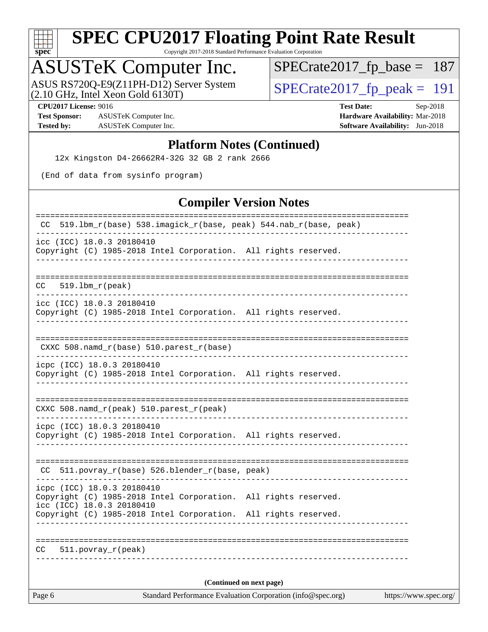

Copyright 2017-2018 Standard Performance Evaluation Corporation

## ASUSTeK Computer Inc.

ASUS RS720Q-E9(Z11PH-D12) Server System  $(2.10 \text{ GHz}, \text{ Intel Xeon Gold } 6130T)$ 

[SPECrate2017\\_fp\\_base =](http://www.spec.org/auto/cpu2017/Docs/result-fields.html#SPECrate2017fpbase) 187

**[Test Sponsor:](http://www.spec.org/auto/cpu2017/Docs/result-fields.html#TestSponsor)** ASUSTeK Computer Inc. **[Hardware Availability:](http://www.spec.org/auto/cpu2017/Docs/result-fields.html#HardwareAvailability)** Mar-2018 **[Tested by:](http://www.spec.org/auto/cpu2017/Docs/result-fields.html#Testedby)** ASUSTeK Computer Inc. **[Software Availability:](http://www.spec.org/auto/cpu2017/Docs/result-fields.html#SoftwareAvailability)** Jun-2018

**[CPU2017 License:](http://www.spec.org/auto/cpu2017/Docs/result-fields.html#CPU2017License)** 9016 **[Test Date:](http://www.spec.org/auto/cpu2017/Docs/result-fields.html#TestDate)** Sep-2018

#### **[Platform Notes \(Continued\)](http://www.spec.org/auto/cpu2017/Docs/result-fields.html#PlatformNotes)**

12x Kingston D4-26662R4-32G 32 GB 2 rank 2666

(End of data from sysinfo program)

#### **[Compiler Version Notes](http://www.spec.org/auto/cpu2017/Docs/result-fields.html#CompilerVersionNotes)**

| <b>Compiler Version Notes</b>                                                                                              |
|----------------------------------------------------------------------------------------------------------------------------|
| 519.1bm_r(base) 538.imagick_r(base, peak) 544.nab_r(base, peak)<br>CC.                                                     |
| icc (ICC) 18.0.3 20180410<br>Copyright (C) 1985-2018 Intel Corporation. All rights reserved.                               |
| $CC = 519.1bm_r (peak)$                                                                                                    |
| icc (ICC) 18.0.3 20180410<br>Copyright (C) 1985-2018 Intel Corporation. All rights reserved.                               |
| CXXC 508.namd_r(base) 510.parest_r(base)                                                                                   |
| icpc (ICC) 18.0.3 20180410<br>Copyright (C) 1985-2018 Intel Corporation. All rights reserved.                              |
| CXXC 508.namd_r(peak) 510.parest_r(peak)                                                                                   |
| icpc (ICC) 18.0.3 20180410<br>Copyright (C) 1985-2018 Intel Corporation. All rights reserved.                              |
| CC 511.povray_r(base) 526.blender_r(base, peak)                                                                            |
| icpc (ICC) 18.0.3 20180410<br>Copyright (C) 1985-2018 Intel Corporation. All rights reserved.<br>icc (ICC) 18.0.3 20180410 |
| Copyright (C) 1985-2018 Intel Corporation. All rights reserved.                                                            |
| CC<br>$511. povray_r (peak)$                                                                                               |
| (Continued on next page)                                                                                                   |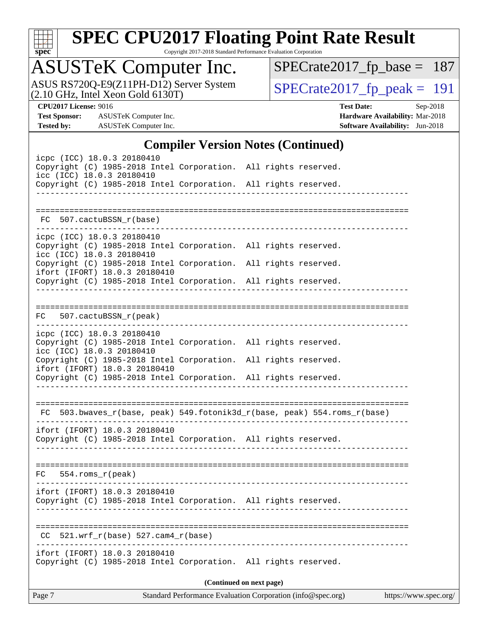

Copyright 2017-2018 Standard Performance Evaluation Corporation

## ASUSTeK Computer Inc.

ASUS RS720Q-E9(Z11PH-D12) Server System  $(2.10 \text{ GHz}, \text{ Intel Xeon Gold } 6130T)$ 

[SPECrate2017\\_fp\\_base =](http://www.spec.org/auto/cpu2017/Docs/result-fields.html#SPECrate2017fpbase) 187

**[Test Sponsor:](http://www.spec.org/auto/cpu2017/Docs/result-fields.html#TestSponsor)** ASUSTeK Computer Inc. **[Hardware Availability:](http://www.spec.org/auto/cpu2017/Docs/result-fields.html#HardwareAvailability)** Mar-2018 **[Tested by:](http://www.spec.org/auto/cpu2017/Docs/result-fields.html#Testedby)** ASUSTeK Computer Inc. **[Software Availability:](http://www.spec.org/auto/cpu2017/Docs/result-fields.html#SoftwareAvailability)** Jun-2018

**[CPU2017 License:](http://www.spec.org/auto/cpu2017/Docs/result-fields.html#CPU2017License)** 9016 **[Test Date:](http://www.spec.org/auto/cpu2017/Docs/result-fields.html#TestDate)** Sep-2018

### **[Compiler Version Notes \(Continued\)](http://www.spec.org/auto/cpu2017/Docs/result-fields.html#CompilerVersionNotes)**

| Standard Performance Evaluation Corporation (info@spec.org)<br>Page 7                                                                                                                            | https://www.spec.org/ |
|--------------------------------------------------------------------------------------------------------------------------------------------------------------------------------------------------|-----------------------|
| (Continued on next page)                                                                                                                                                                         |                       |
| ifort (IFORT) 18.0.3 20180410<br>Copyright (C) 1985-2018 Intel Corporation. All rights reserved.                                                                                                 |                       |
| 521.wrf_r(base) 527.cam4_r(base)<br>CC.                                                                                                                                                          |                       |
| ifort (IFORT) 18.0.3 20180410<br>Copyright (C) 1985-2018 Intel Corporation. All rights reserved.                                                                                                 |                       |
| FC<br>$554.rows_r (peak)$                                                                                                                                                                        |                       |
| ifort (IFORT) 18.0.3 20180410<br>Copyright (C) 1985-2018 Intel Corporation. All rights reserved.<br>----------------------------------                                                           |                       |
| FC 503.bwaves_r(base, peak) 549.fotonik3d_r(base, peak) 554.roms_r(base)                                                                                                                         |                       |
| ifort (IFORT) 18.0.3 20180410<br>Copyright (C) 1985-2018 Intel Corporation. All rights reserved.                                                                                                 |                       |
| Copyright (C) 1985-2018 Intel Corporation. All rights reserved.<br>icc (ICC) 18.0.3 20180410<br>Copyright (C) 1985-2018 Intel Corporation. All rights reserved.                                  |                       |
| FC 507.cactuBSSN_r(peak)<br>icpc (ICC) 18.0.3 20180410                                                                                                                                           |                       |
|                                                                                                                                                                                                  |                       |
| icc (ICC) 18.0.3 20180410<br>Copyright (C) 1985-2018 Intel Corporation. All rights reserved.<br>ifort (IFORT) 18.0.3 20180410<br>Copyright (C) 1985-2018 Intel Corporation. All rights reserved. |                       |
| icpc (ICC) 18.0.3 20180410<br>Copyright (C) 1985-2018 Intel Corporation. All rights reserved.                                                                                                    |                       |
| FC 507.cactuBSSN_r(base)                                                                                                                                                                         |                       |
| icc (ICC) 18.0.3 20180410<br>Copyright (C) 1985-2018 Intel Corporation. All rights reserved.<br>----------------------                                                                           |                       |
| icpc (ICC) 18.0.3 20180410<br>Copyright (C) 1985-2018 Intel Corporation. All rights reserved.                                                                                                    |                       |
|                                                                                                                                                                                                  |                       |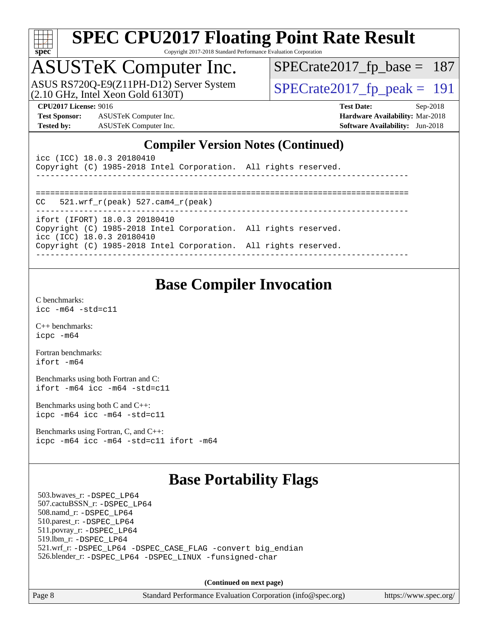

Copyright 2017-2018 Standard Performance Evaluation Corporation

## ASUSTeK Computer Inc.

ASUS RS720Q-E9(Z11PH-D12) Server System  $(2.10 \text{ GHz}, \text{ Intel Xeon Gold } 6130T)$ 

[SPECrate2017\\_fp\\_base =](http://www.spec.org/auto/cpu2017/Docs/result-fields.html#SPECrate2017fpbase) 187

**[Test Sponsor:](http://www.spec.org/auto/cpu2017/Docs/result-fields.html#TestSponsor)** ASUSTeK Computer Inc. **[Hardware Availability:](http://www.spec.org/auto/cpu2017/Docs/result-fields.html#HardwareAvailability)** Mar-2018 **[Tested by:](http://www.spec.org/auto/cpu2017/Docs/result-fields.html#Testedby)** ASUSTeK Computer Inc. **[Software Availability:](http://www.spec.org/auto/cpu2017/Docs/result-fields.html#SoftwareAvailability)** Jun-2018

**[CPU2017 License:](http://www.spec.org/auto/cpu2017/Docs/result-fields.html#CPU2017License)** 9016 **[Test Date:](http://www.spec.org/auto/cpu2017/Docs/result-fields.html#TestDate)** Sep-2018

#### **[Compiler Version Notes \(Continued\)](http://www.spec.org/auto/cpu2017/Docs/result-fields.html#CompilerVersionNotes)**

| icc (ICC) 18.0.3 20180410<br>Copyright (C) 1985-2018 Intel Corporation. All rights reserved. |  |
|----------------------------------------------------------------------------------------------|--|
|                                                                                              |  |
| $CC = 521$ .wrf $r(\text{peak})$ 527.cam4 $r(\text{peak})$                                   |  |
| ifort (IFORT) 18.0.3 20180410                                                                |  |
| Copyright (C) 1985-2018 Intel Corporation. All rights reserved.<br>icc (ICC) 18.0.3 20180410 |  |
| Copyright (C) 1985-2018 Intel Corporation. All rights reserved.                              |  |

### **[Base Compiler Invocation](http://www.spec.org/auto/cpu2017/Docs/result-fields.html#BaseCompilerInvocation)**

[C benchmarks](http://www.spec.org/auto/cpu2017/Docs/result-fields.html#Cbenchmarks): [icc -m64 -std=c11](http://www.spec.org/cpu2017/results/res2018q4/cpu2017-20181015-09162.flags.html#user_CCbase_intel_icc_64bit_c11_33ee0cdaae7deeeab2a9725423ba97205ce30f63b9926c2519791662299b76a0318f32ddfffdc46587804de3178b4f9328c46fa7c2b0cd779d7a61945c91cd35)

[C++ benchmarks:](http://www.spec.org/auto/cpu2017/Docs/result-fields.html#CXXbenchmarks) [icpc -m64](http://www.spec.org/cpu2017/results/res2018q4/cpu2017-20181015-09162.flags.html#user_CXXbase_intel_icpc_64bit_4ecb2543ae3f1412ef961e0650ca070fec7b7afdcd6ed48761b84423119d1bf6bdf5cad15b44d48e7256388bc77273b966e5eb805aefd121eb22e9299b2ec9d9)

[Fortran benchmarks](http://www.spec.org/auto/cpu2017/Docs/result-fields.html#Fortranbenchmarks): [ifort -m64](http://www.spec.org/cpu2017/results/res2018q4/cpu2017-20181015-09162.flags.html#user_FCbase_intel_ifort_64bit_24f2bb282fbaeffd6157abe4f878425411749daecae9a33200eee2bee2fe76f3b89351d69a8130dd5949958ce389cf37ff59a95e7a40d588e8d3a57e0c3fd751)

[Benchmarks using both Fortran and C](http://www.spec.org/auto/cpu2017/Docs/result-fields.html#BenchmarksusingbothFortranandC): [ifort -m64](http://www.spec.org/cpu2017/results/res2018q4/cpu2017-20181015-09162.flags.html#user_CC_FCbase_intel_ifort_64bit_24f2bb282fbaeffd6157abe4f878425411749daecae9a33200eee2bee2fe76f3b89351d69a8130dd5949958ce389cf37ff59a95e7a40d588e8d3a57e0c3fd751) [icc -m64 -std=c11](http://www.spec.org/cpu2017/results/res2018q4/cpu2017-20181015-09162.flags.html#user_CC_FCbase_intel_icc_64bit_c11_33ee0cdaae7deeeab2a9725423ba97205ce30f63b9926c2519791662299b76a0318f32ddfffdc46587804de3178b4f9328c46fa7c2b0cd779d7a61945c91cd35)

[Benchmarks using both C and C++](http://www.spec.org/auto/cpu2017/Docs/result-fields.html#BenchmarksusingbothCandCXX): [icpc -m64](http://www.spec.org/cpu2017/results/res2018q4/cpu2017-20181015-09162.flags.html#user_CC_CXXbase_intel_icpc_64bit_4ecb2543ae3f1412ef961e0650ca070fec7b7afdcd6ed48761b84423119d1bf6bdf5cad15b44d48e7256388bc77273b966e5eb805aefd121eb22e9299b2ec9d9) [icc -m64 -std=c11](http://www.spec.org/cpu2017/results/res2018q4/cpu2017-20181015-09162.flags.html#user_CC_CXXbase_intel_icc_64bit_c11_33ee0cdaae7deeeab2a9725423ba97205ce30f63b9926c2519791662299b76a0318f32ddfffdc46587804de3178b4f9328c46fa7c2b0cd779d7a61945c91cd35)

[Benchmarks using Fortran, C, and C++:](http://www.spec.org/auto/cpu2017/Docs/result-fields.html#BenchmarksusingFortranCandCXX) [icpc -m64](http://www.spec.org/cpu2017/results/res2018q4/cpu2017-20181015-09162.flags.html#user_CC_CXX_FCbase_intel_icpc_64bit_4ecb2543ae3f1412ef961e0650ca070fec7b7afdcd6ed48761b84423119d1bf6bdf5cad15b44d48e7256388bc77273b966e5eb805aefd121eb22e9299b2ec9d9) [icc -m64 -std=c11](http://www.spec.org/cpu2017/results/res2018q4/cpu2017-20181015-09162.flags.html#user_CC_CXX_FCbase_intel_icc_64bit_c11_33ee0cdaae7deeeab2a9725423ba97205ce30f63b9926c2519791662299b76a0318f32ddfffdc46587804de3178b4f9328c46fa7c2b0cd779d7a61945c91cd35) [ifort -m64](http://www.spec.org/cpu2017/results/res2018q4/cpu2017-20181015-09162.flags.html#user_CC_CXX_FCbase_intel_ifort_64bit_24f2bb282fbaeffd6157abe4f878425411749daecae9a33200eee2bee2fe76f3b89351d69a8130dd5949958ce389cf37ff59a95e7a40d588e8d3a57e0c3fd751)

### **[Base Portability Flags](http://www.spec.org/auto/cpu2017/Docs/result-fields.html#BasePortabilityFlags)**

 503.bwaves\_r: [-DSPEC\\_LP64](http://www.spec.org/cpu2017/results/res2018q4/cpu2017-20181015-09162.flags.html#suite_basePORTABILITY503_bwaves_r_DSPEC_LP64) 507.cactuBSSN\_r: [-DSPEC\\_LP64](http://www.spec.org/cpu2017/results/res2018q4/cpu2017-20181015-09162.flags.html#suite_basePORTABILITY507_cactuBSSN_r_DSPEC_LP64) 508.namd\_r: [-DSPEC\\_LP64](http://www.spec.org/cpu2017/results/res2018q4/cpu2017-20181015-09162.flags.html#suite_basePORTABILITY508_namd_r_DSPEC_LP64) 510.parest\_r: [-DSPEC\\_LP64](http://www.spec.org/cpu2017/results/res2018q4/cpu2017-20181015-09162.flags.html#suite_basePORTABILITY510_parest_r_DSPEC_LP64) 511.povray\_r: [-DSPEC\\_LP64](http://www.spec.org/cpu2017/results/res2018q4/cpu2017-20181015-09162.flags.html#suite_basePORTABILITY511_povray_r_DSPEC_LP64) 519.lbm\_r: [-DSPEC\\_LP64](http://www.spec.org/cpu2017/results/res2018q4/cpu2017-20181015-09162.flags.html#suite_basePORTABILITY519_lbm_r_DSPEC_LP64) 521.wrf\_r: [-DSPEC\\_LP64](http://www.spec.org/cpu2017/results/res2018q4/cpu2017-20181015-09162.flags.html#suite_basePORTABILITY521_wrf_r_DSPEC_LP64) [-DSPEC\\_CASE\\_FLAG](http://www.spec.org/cpu2017/results/res2018q4/cpu2017-20181015-09162.flags.html#b521.wrf_r_baseCPORTABILITY_DSPEC_CASE_FLAG) [-convert big\\_endian](http://www.spec.org/cpu2017/results/res2018q4/cpu2017-20181015-09162.flags.html#user_baseFPORTABILITY521_wrf_r_convert_big_endian_c3194028bc08c63ac5d04de18c48ce6d347e4e562e8892b8bdbdc0214820426deb8554edfa529a3fb25a586e65a3d812c835984020483e7e73212c4d31a38223) 526.blender\_r: [-DSPEC\\_LP64](http://www.spec.org/cpu2017/results/res2018q4/cpu2017-20181015-09162.flags.html#suite_basePORTABILITY526_blender_r_DSPEC_LP64) [-DSPEC\\_LINUX](http://www.spec.org/cpu2017/results/res2018q4/cpu2017-20181015-09162.flags.html#b526.blender_r_baseCPORTABILITY_DSPEC_LINUX) [-funsigned-char](http://www.spec.org/cpu2017/results/res2018q4/cpu2017-20181015-09162.flags.html#user_baseCPORTABILITY526_blender_r_force_uchar_40c60f00ab013830e2dd6774aeded3ff59883ba5a1fc5fc14077f794d777847726e2a5858cbc7672e36e1b067e7e5c1d9a74f7176df07886a243d7cc18edfe67)

**(Continued on next page)**

Page 8 Standard Performance Evaluation Corporation [\(info@spec.org\)](mailto:info@spec.org) <https://www.spec.org/>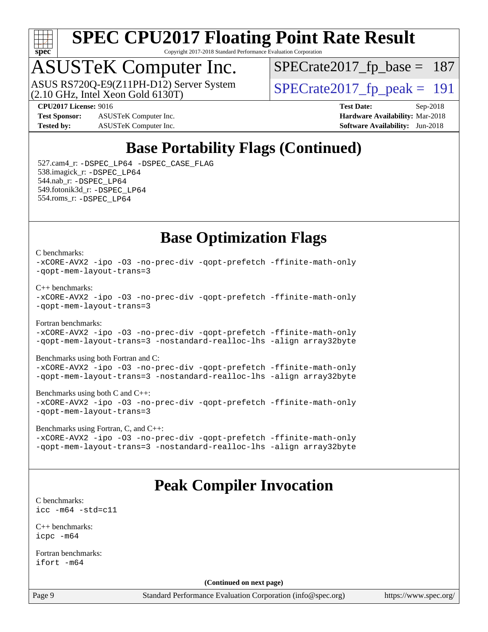

Copyright 2017-2018 Standard Performance Evaluation Corporation

## ASUSTeK Computer Inc.

(2.10 GHz, Intel Xeon Gold 6130T) ASUS RS720Q-E9(Z11PH-D12) Server System  $\sqrt{\text{SPECrate2017\_fp\_peak}} = 191$ 

[SPECrate2017\\_fp\\_base =](http://www.spec.org/auto/cpu2017/Docs/result-fields.html#SPECrate2017fpbase) 187

**[Test Sponsor:](http://www.spec.org/auto/cpu2017/Docs/result-fields.html#TestSponsor)** ASUSTeK Computer Inc. **[Hardware Availability:](http://www.spec.org/auto/cpu2017/Docs/result-fields.html#HardwareAvailability)** Mar-2018 **[Tested by:](http://www.spec.org/auto/cpu2017/Docs/result-fields.html#Testedby)** ASUSTeK Computer Inc. **[Software Availability:](http://www.spec.org/auto/cpu2017/Docs/result-fields.html#SoftwareAvailability)** Jun-2018

**[CPU2017 License:](http://www.spec.org/auto/cpu2017/Docs/result-fields.html#CPU2017License)** 9016 **[Test Date:](http://www.spec.org/auto/cpu2017/Docs/result-fields.html#TestDate)** Sep-2018

### **[Base Portability Flags \(Continued\)](http://www.spec.org/auto/cpu2017/Docs/result-fields.html#BasePortabilityFlags)**

 527.cam4\_r: [-DSPEC\\_LP64](http://www.spec.org/cpu2017/results/res2018q4/cpu2017-20181015-09162.flags.html#suite_basePORTABILITY527_cam4_r_DSPEC_LP64) [-DSPEC\\_CASE\\_FLAG](http://www.spec.org/cpu2017/results/res2018q4/cpu2017-20181015-09162.flags.html#b527.cam4_r_baseCPORTABILITY_DSPEC_CASE_FLAG) 538.imagick\_r: [-DSPEC\\_LP64](http://www.spec.org/cpu2017/results/res2018q4/cpu2017-20181015-09162.flags.html#suite_basePORTABILITY538_imagick_r_DSPEC_LP64) 544.nab\_r: [-DSPEC\\_LP64](http://www.spec.org/cpu2017/results/res2018q4/cpu2017-20181015-09162.flags.html#suite_basePORTABILITY544_nab_r_DSPEC_LP64) 549.fotonik3d\_r: [-DSPEC\\_LP64](http://www.spec.org/cpu2017/results/res2018q4/cpu2017-20181015-09162.flags.html#suite_basePORTABILITY549_fotonik3d_r_DSPEC_LP64) 554.roms\_r: [-DSPEC\\_LP64](http://www.spec.org/cpu2017/results/res2018q4/cpu2017-20181015-09162.flags.html#suite_basePORTABILITY554_roms_r_DSPEC_LP64)

### **[Base Optimization Flags](http://www.spec.org/auto/cpu2017/Docs/result-fields.html#BaseOptimizationFlags)**

[C benchmarks](http://www.spec.org/auto/cpu2017/Docs/result-fields.html#Cbenchmarks):

[-xCORE-AVX2](http://www.spec.org/cpu2017/results/res2018q4/cpu2017-20181015-09162.flags.html#user_CCbase_f-xCORE-AVX2) [-ipo](http://www.spec.org/cpu2017/results/res2018q4/cpu2017-20181015-09162.flags.html#user_CCbase_f-ipo) [-O3](http://www.spec.org/cpu2017/results/res2018q4/cpu2017-20181015-09162.flags.html#user_CCbase_f-O3) [-no-prec-div](http://www.spec.org/cpu2017/results/res2018q4/cpu2017-20181015-09162.flags.html#user_CCbase_f-no-prec-div) [-qopt-prefetch](http://www.spec.org/cpu2017/results/res2018q4/cpu2017-20181015-09162.flags.html#user_CCbase_f-qopt-prefetch) [-ffinite-math-only](http://www.spec.org/cpu2017/results/res2018q4/cpu2017-20181015-09162.flags.html#user_CCbase_f_finite_math_only_cb91587bd2077682c4b38af759c288ed7c732db004271a9512da14a4f8007909a5f1427ecbf1a0fb78ff2a814402c6114ac565ca162485bbcae155b5e4258871) [-qopt-mem-layout-trans=3](http://www.spec.org/cpu2017/results/res2018q4/cpu2017-20181015-09162.flags.html#user_CCbase_f-qopt-mem-layout-trans_de80db37974c74b1f0e20d883f0b675c88c3b01e9d123adea9b28688d64333345fb62bc4a798493513fdb68f60282f9a726aa07f478b2f7113531aecce732043)

[C++ benchmarks:](http://www.spec.org/auto/cpu2017/Docs/result-fields.html#CXXbenchmarks)

[-xCORE-AVX2](http://www.spec.org/cpu2017/results/res2018q4/cpu2017-20181015-09162.flags.html#user_CXXbase_f-xCORE-AVX2) [-ipo](http://www.spec.org/cpu2017/results/res2018q4/cpu2017-20181015-09162.flags.html#user_CXXbase_f-ipo) [-O3](http://www.spec.org/cpu2017/results/res2018q4/cpu2017-20181015-09162.flags.html#user_CXXbase_f-O3) [-no-prec-div](http://www.spec.org/cpu2017/results/res2018q4/cpu2017-20181015-09162.flags.html#user_CXXbase_f-no-prec-div) [-qopt-prefetch](http://www.spec.org/cpu2017/results/res2018q4/cpu2017-20181015-09162.flags.html#user_CXXbase_f-qopt-prefetch) [-ffinite-math-only](http://www.spec.org/cpu2017/results/res2018q4/cpu2017-20181015-09162.flags.html#user_CXXbase_f_finite_math_only_cb91587bd2077682c4b38af759c288ed7c732db004271a9512da14a4f8007909a5f1427ecbf1a0fb78ff2a814402c6114ac565ca162485bbcae155b5e4258871) [-qopt-mem-layout-trans=3](http://www.spec.org/cpu2017/results/res2018q4/cpu2017-20181015-09162.flags.html#user_CXXbase_f-qopt-mem-layout-trans_de80db37974c74b1f0e20d883f0b675c88c3b01e9d123adea9b28688d64333345fb62bc4a798493513fdb68f60282f9a726aa07f478b2f7113531aecce732043)

[Fortran benchmarks](http://www.spec.org/auto/cpu2017/Docs/result-fields.html#Fortranbenchmarks): [-xCORE-AVX2](http://www.spec.org/cpu2017/results/res2018q4/cpu2017-20181015-09162.flags.html#user_FCbase_f-xCORE-AVX2) [-ipo](http://www.spec.org/cpu2017/results/res2018q4/cpu2017-20181015-09162.flags.html#user_FCbase_f-ipo) [-O3](http://www.spec.org/cpu2017/results/res2018q4/cpu2017-20181015-09162.flags.html#user_FCbase_f-O3) [-no-prec-div](http://www.spec.org/cpu2017/results/res2018q4/cpu2017-20181015-09162.flags.html#user_FCbase_f-no-prec-div) [-qopt-prefetch](http://www.spec.org/cpu2017/results/res2018q4/cpu2017-20181015-09162.flags.html#user_FCbase_f-qopt-prefetch) [-ffinite-math-only](http://www.spec.org/cpu2017/results/res2018q4/cpu2017-20181015-09162.flags.html#user_FCbase_f_finite_math_only_cb91587bd2077682c4b38af759c288ed7c732db004271a9512da14a4f8007909a5f1427ecbf1a0fb78ff2a814402c6114ac565ca162485bbcae155b5e4258871) [-qopt-mem-layout-trans=3](http://www.spec.org/cpu2017/results/res2018q4/cpu2017-20181015-09162.flags.html#user_FCbase_f-qopt-mem-layout-trans_de80db37974c74b1f0e20d883f0b675c88c3b01e9d123adea9b28688d64333345fb62bc4a798493513fdb68f60282f9a726aa07f478b2f7113531aecce732043) [-nostandard-realloc-lhs](http://www.spec.org/cpu2017/results/res2018q4/cpu2017-20181015-09162.flags.html#user_FCbase_f_2003_std_realloc_82b4557e90729c0f113870c07e44d33d6f5a304b4f63d4c15d2d0f1fab99f5daaed73bdb9275d9ae411527f28b936061aa8b9c8f2d63842963b95c9dd6426b8a) [-align array32byte](http://www.spec.org/cpu2017/results/res2018q4/cpu2017-20181015-09162.flags.html#user_FCbase_align_array32byte_b982fe038af199962ba9a80c053b8342c548c85b40b8e86eb3cc33dee0d7986a4af373ac2d51c3f7cf710a18d62fdce2948f201cd044323541f22fc0fffc51b6)

[Benchmarks using both Fortran and C](http://www.spec.org/auto/cpu2017/Docs/result-fields.html#BenchmarksusingbothFortranandC):

[-xCORE-AVX2](http://www.spec.org/cpu2017/results/res2018q4/cpu2017-20181015-09162.flags.html#user_CC_FCbase_f-xCORE-AVX2) [-ipo](http://www.spec.org/cpu2017/results/res2018q4/cpu2017-20181015-09162.flags.html#user_CC_FCbase_f-ipo) [-O3](http://www.spec.org/cpu2017/results/res2018q4/cpu2017-20181015-09162.flags.html#user_CC_FCbase_f-O3) [-no-prec-div](http://www.spec.org/cpu2017/results/res2018q4/cpu2017-20181015-09162.flags.html#user_CC_FCbase_f-no-prec-div) [-qopt-prefetch](http://www.spec.org/cpu2017/results/res2018q4/cpu2017-20181015-09162.flags.html#user_CC_FCbase_f-qopt-prefetch) [-ffinite-math-only](http://www.spec.org/cpu2017/results/res2018q4/cpu2017-20181015-09162.flags.html#user_CC_FCbase_f_finite_math_only_cb91587bd2077682c4b38af759c288ed7c732db004271a9512da14a4f8007909a5f1427ecbf1a0fb78ff2a814402c6114ac565ca162485bbcae155b5e4258871) [-qopt-mem-layout-trans=3](http://www.spec.org/cpu2017/results/res2018q4/cpu2017-20181015-09162.flags.html#user_CC_FCbase_f-qopt-mem-layout-trans_de80db37974c74b1f0e20d883f0b675c88c3b01e9d123adea9b28688d64333345fb62bc4a798493513fdb68f60282f9a726aa07f478b2f7113531aecce732043) [-nostandard-realloc-lhs](http://www.spec.org/cpu2017/results/res2018q4/cpu2017-20181015-09162.flags.html#user_CC_FCbase_f_2003_std_realloc_82b4557e90729c0f113870c07e44d33d6f5a304b4f63d4c15d2d0f1fab99f5daaed73bdb9275d9ae411527f28b936061aa8b9c8f2d63842963b95c9dd6426b8a) [-align array32byte](http://www.spec.org/cpu2017/results/res2018q4/cpu2017-20181015-09162.flags.html#user_CC_FCbase_align_array32byte_b982fe038af199962ba9a80c053b8342c548c85b40b8e86eb3cc33dee0d7986a4af373ac2d51c3f7cf710a18d62fdce2948f201cd044323541f22fc0fffc51b6)

[Benchmarks using both C and C++](http://www.spec.org/auto/cpu2017/Docs/result-fields.html#BenchmarksusingbothCandCXX): [-xCORE-AVX2](http://www.spec.org/cpu2017/results/res2018q4/cpu2017-20181015-09162.flags.html#user_CC_CXXbase_f-xCORE-AVX2) [-ipo](http://www.spec.org/cpu2017/results/res2018q4/cpu2017-20181015-09162.flags.html#user_CC_CXXbase_f-ipo) [-O3](http://www.spec.org/cpu2017/results/res2018q4/cpu2017-20181015-09162.flags.html#user_CC_CXXbase_f-O3) [-no-prec-div](http://www.spec.org/cpu2017/results/res2018q4/cpu2017-20181015-09162.flags.html#user_CC_CXXbase_f-no-prec-div) [-qopt-prefetch](http://www.spec.org/cpu2017/results/res2018q4/cpu2017-20181015-09162.flags.html#user_CC_CXXbase_f-qopt-prefetch) [-ffinite-math-only](http://www.spec.org/cpu2017/results/res2018q4/cpu2017-20181015-09162.flags.html#user_CC_CXXbase_f_finite_math_only_cb91587bd2077682c4b38af759c288ed7c732db004271a9512da14a4f8007909a5f1427ecbf1a0fb78ff2a814402c6114ac565ca162485bbcae155b5e4258871) [-qopt-mem-layout-trans=3](http://www.spec.org/cpu2017/results/res2018q4/cpu2017-20181015-09162.flags.html#user_CC_CXXbase_f-qopt-mem-layout-trans_de80db37974c74b1f0e20d883f0b675c88c3b01e9d123adea9b28688d64333345fb62bc4a798493513fdb68f60282f9a726aa07f478b2f7113531aecce732043)

[Benchmarks using Fortran, C, and C++:](http://www.spec.org/auto/cpu2017/Docs/result-fields.html#BenchmarksusingFortranCandCXX) [-xCORE-AVX2](http://www.spec.org/cpu2017/results/res2018q4/cpu2017-20181015-09162.flags.html#user_CC_CXX_FCbase_f-xCORE-AVX2) [-ipo](http://www.spec.org/cpu2017/results/res2018q4/cpu2017-20181015-09162.flags.html#user_CC_CXX_FCbase_f-ipo) [-O3](http://www.spec.org/cpu2017/results/res2018q4/cpu2017-20181015-09162.flags.html#user_CC_CXX_FCbase_f-O3) [-no-prec-div](http://www.spec.org/cpu2017/results/res2018q4/cpu2017-20181015-09162.flags.html#user_CC_CXX_FCbase_f-no-prec-div) [-qopt-prefetch](http://www.spec.org/cpu2017/results/res2018q4/cpu2017-20181015-09162.flags.html#user_CC_CXX_FCbase_f-qopt-prefetch) [-ffinite-math-only](http://www.spec.org/cpu2017/results/res2018q4/cpu2017-20181015-09162.flags.html#user_CC_CXX_FCbase_f_finite_math_only_cb91587bd2077682c4b38af759c288ed7c732db004271a9512da14a4f8007909a5f1427ecbf1a0fb78ff2a814402c6114ac565ca162485bbcae155b5e4258871) [-qopt-mem-layout-trans=3](http://www.spec.org/cpu2017/results/res2018q4/cpu2017-20181015-09162.flags.html#user_CC_CXX_FCbase_f-qopt-mem-layout-trans_de80db37974c74b1f0e20d883f0b675c88c3b01e9d123adea9b28688d64333345fb62bc4a798493513fdb68f60282f9a726aa07f478b2f7113531aecce732043) [-nostandard-realloc-lhs](http://www.spec.org/cpu2017/results/res2018q4/cpu2017-20181015-09162.flags.html#user_CC_CXX_FCbase_f_2003_std_realloc_82b4557e90729c0f113870c07e44d33d6f5a304b4f63d4c15d2d0f1fab99f5daaed73bdb9275d9ae411527f28b936061aa8b9c8f2d63842963b95c9dd6426b8a) [-align array32byte](http://www.spec.org/cpu2017/results/res2018q4/cpu2017-20181015-09162.flags.html#user_CC_CXX_FCbase_align_array32byte_b982fe038af199962ba9a80c053b8342c548c85b40b8e86eb3cc33dee0d7986a4af373ac2d51c3f7cf710a18d62fdce2948f201cd044323541f22fc0fffc51b6)

### **[Peak Compiler Invocation](http://www.spec.org/auto/cpu2017/Docs/result-fields.html#PeakCompilerInvocation)**

[C benchmarks](http://www.spec.org/auto/cpu2017/Docs/result-fields.html#Cbenchmarks): [icc -m64 -std=c11](http://www.spec.org/cpu2017/results/res2018q4/cpu2017-20181015-09162.flags.html#user_CCpeak_intel_icc_64bit_c11_33ee0cdaae7deeeab2a9725423ba97205ce30f63b9926c2519791662299b76a0318f32ddfffdc46587804de3178b4f9328c46fa7c2b0cd779d7a61945c91cd35)

[C++ benchmarks:](http://www.spec.org/auto/cpu2017/Docs/result-fields.html#CXXbenchmarks) [icpc -m64](http://www.spec.org/cpu2017/results/res2018q4/cpu2017-20181015-09162.flags.html#user_CXXpeak_intel_icpc_64bit_4ecb2543ae3f1412ef961e0650ca070fec7b7afdcd6ed48761b84423119d1bf6bdf5cad15b44d48e7256388bc77273b966e5eb805aefd121eb22e9299b2ec9d9)

[Fortran benchmarks](http://www.spec.org/auto/cpu2017/Docs/result-fields.html#Fortranbenchmarks): [ifort -m64](http://www.spec.org/cpu2017/results/res2018q4/cpu2017-20181015-09162.flags.html#user_FCpeak_intel_ifort_64bit_24f2bb282fbaeffd6157abe4f878425411749daecae9a33200eee2bee2fe76f3b89351d69a8130dd5949958ce389cf37ff59a95e7a40d588e8d3a57e0c3fd751)

**(Continued on next page)**

Page 9 Standard Performance Evaluation Corporation [\(info@spec.org\)](mailto:info@spec.org) <https://www.spec.org/>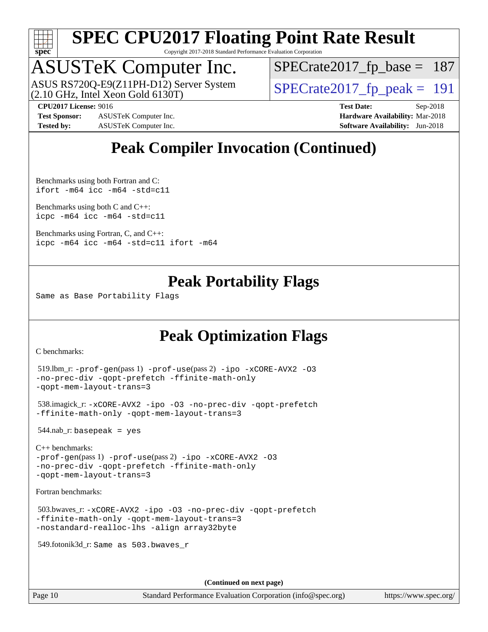

Copyright 2017-2018 Standard Performance Evaluation Corporation

## ASUSTeK Computer Inc.

(2.10 GHz, Intel Xeon Gold 6130T) ASUS RS720Q-E9(Z11PH-D12) Server System  $\sqrt{\text{SPECrate2017\_fp\_peak}} = 191$ 

[SPECrate2017\\_fp\\_base =](http://www.spec.org/auto/cpu2017/Docs/result-fields.html#SPECrate2017fpbase) 187

**[Test Sponsor:](http://www.spec.org/auto/cpu2017/Docs/result-fields.html#TestSponsor)** ASUSTeK Computer Inc. **[Hardware Availability:](http://www.spec.org/auto/cpu2017/Docs/result-fields.html#HardwareAvailability)** Mar-2018 **[Tested by:](http://www.spec.org/auto/cpu2017/Docs/result-fields.html#Testedby)** ASUSTeK Computer Inc. **[Software Availability:](http://www.spec.org/auto/cpu2017/Docs/result-fields.html#SoftwareAvailability)** Jun-2018

**[CPU2017 License:](http://www.spec.org/auto/cpu2017/Docs/result-fields.html#CPU2017License)** 9016 **[Test Date:](http://www.spec.org/auto/cpu2017/Docs/result-fields.html#TestDate)** Sep-2018

### **[Peak Compiler Invocation \(Continued\)](http://www.spec.org/auto/cpu2017/Docs/result-fields.html#PeakCompilerInvocation)**

[Benchmarks using both Fortran and C](http://www.spec.org/auto/cpu2017/Docs/result-fields.html#BenchmarksusingbothFortranandC): [ifort -m64](http://www.spec.org/cpu2017/results/res2018q4/cpu2017-20181015-09162.flags.html#user_CC_FCpeak_intel_ifort_64bit_24f2bb282fbaeffd6157abe4f878425411749daecae9a33200eee2bee2fe76f3b89351d69a8130dd5949958ce389cf37ff59a95e7a40d588e8d3a57e0c3fd751) [icc -m64 -std=c11](http://www.spec.org/cpu2017/results/res2018q4/cpu2017-20181015-09162.flags.html#user_CC_FCpeak_intel_icc_64bit_c11_33ee0cdaae7deeeab2a9725423ba97205ce30f63b9926c2519791662299b76a0318f32ddfffdc46587804de3178b4f9328c46fa7c2b0cd779d7a61945c91cd35)

[Benchmarks using both C and C++](http://www.spec.org/auto/cpu2017/Docs/result-fields.html#BenchmarksusingbothCandCXX): [icpc -m64](http://www.spec.org/cpu2017/results/res2018q4/cpu2017-20181015-09162.flags.html#user_CC_CXXpeak_intel_icpc_64bit_4ecb2543ae3f1412ef961e0650ca070fec7b7afdcd6ed48761b84423119d1bf6bdf5cad15b44d48e7256388bc77273b966e5eb805aefd121eb22e9299b2ec9d9) [icc -m64 -std=c11](http://www.spec.org/cpu2017/results/res2018q4/cpu2017-20181015-09162.flags.html#user_CC_CXXpeak_intel_icc_64bit_c11_33ee0cdaae7deeeab2a9725423ba97205ce30f63b9926c2519791662299b76a0318f32ddfffdc46587804de3178b4f9328c46fa7c2b0cd779d7a61945c91cd35)

[Benchmarks using Fortran, C, and C++:](http://www.spec.org/auto/cpu2017/Docs/result-fields.html#BenchmarksusingFortranCandCXX) [icpc -m64](http://www.spec.org/cpu2017/results/res2018q4/cpu2017-20181015-09162.flags.html#user_CC_CXX_FCpeak_intel_icpc_64bit_4ecb2543ae3f1412ef961e0650ca070fec7b7afdcd6ed48761b84423119d1bf6bdf5cad15b44d48e7256388bc77273b966e5eb805aefd121eb22e9299b2ec9d9) [icc -m64 -std=c11](http://www.spec.org/cpu2017/results/res2018q4/cpu2017-20181015-09162.flags.html#user_CC_CXX_FCpeak_intel_icc_64bit_c11_33ee0cdaae7deeeab2a9725423ba97205ce30f63b9926c2519791662299b76a0318f32ddfffdc46587804de3178b4f9328c46fa7c2b0cd779d7a61945c91cd35) [ifort -m64](http://www.spec.org/cpu2017/results/res2018q4/cpu2017-20181015-09162.flags.html#user_CC_CXX_FCpeak_intel_ifort_64bit_24f2bb282fbaeffd6157abe4f878425411749daecae9a33200eee2bee2fe76f3b89351d69a8130dd5949958ce389cf37ff59a95e7a40d588e8d3a57e0c3fd751)

### **[Peak Portability Flags](http://www.spec.org/auto/cpu2017/Docs/result-fields.html#PeakPortabilityFlags)**

Same as Base Portability Flags

### **[Peak Optimization Flags](http://www.spec.org/auto/cpu2017/Docs/result-fields.html#PeakOptimizationFlags)**

[C benchmarks](http://www.spec.org/auto/cpu2017/Docs/result-fields.html#Cbenchmarks):

```
 519.lbm_r: -prof-gen(pass 1) -prof-use(pass 2) -ipo -xCORE-AVX2 -O3
-no-prec-div -qopt-prefetch -ffinite-math-only
-qopt-mem-layout-trans=3
 538.imagick_r: -xCORE-AVX2 -ipo -O3 -no-prec-div -qopt-prefetch
-ffinite-math-only -qopt-mem-layout-trans=3
 544.nab_r: basepeak = yes
C++ benchmarks: 
-prof-gen(pass 1) -prof-use(pass 2) -ipo -xCORE-AVX2 -O3
-no-prec-div -qopt-prefetch -ffinite-math-only
-qopt-mem-layout-trans=3
Fortran benchmarks: 
 503.bwaves_r: -xCORE-AVX2 -ipo -O3 -no-prec-div -qopt-prefetch
-ffinite-math-only -qopt-mem-layout-trans=3
-nostandard-realloc-lhs -align array32byte
 549.fotonik3d_r: Same as 503.bwaves_r
                                       (Continued on next page)
```